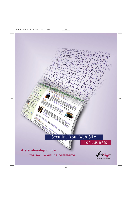# Securing Your Web Site

ARGF; IXZRSD{) 98:> < OYU^\$

 $XV, ZJPEROGGUCV N'JWEJK  
\n[@Y1"4L3:1703S415UUFU  
\nD3THE4800035415UU.$ 

MOLOYT "4L3:1703S415HKL165

 $\frac{96FD37}{134QL}$  Time 4809#\$0J90E20

RUSIGN341RGF.IX

IKWS JF3418

1340LTIFYUSIGN3S415H

LKWH+ WS JFVD

D9B851

NBJKW2EST

SOINT WEEK

RSONOKH

### **A step-by-step guide for secure online commerce**



For Business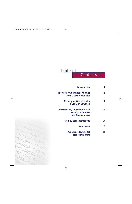### **Contents** Table of

|    | <b>Introduction</b>                                                                 |
|----|-------------------------------------------------------------------------------------|
| 3  | Increase your competitive edge<br>with a secure Web site                            |
|    | Secure your Web site with<br>a VeriSign Server ID                                   |
| 14 | Enhance sales, convenience, and<br>security with other<br><b>VeriSign solutions</b> |
| 17 | Step-by-step instructions                                                           |
| 23 | Conclusion                                                                          |
| 24 | <b>Appendix: How digital</b><br>certificates work                                   |

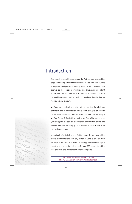## Introduction

Businesses that accept transactions via the Web can gain a competitive edge by reaching a worldwide audience, at very low cost. But the Web poses a unique set of security issues, which businesses must address at the outset to minimize risk. Customers will submit information via the Web only if they are confident that their personal information, such as credit card numbers, financial data, or medical history, is secure.

VeriSign, Inc., the leading provider of trust services for electronic commerce and communication, offers a low-cost, proven solution for securely conducting business over the Web. By installing a VeriSign Server ID (available as part of VeriSign's Site solutions) on your server, you can securely collect sensitive information online, and increase business by giving your customers confidence that their transactions are safe.

Immediately after installing your VeriSign Server ID, you can establish secure communications with any customer using a browser from Netscape or Microsoft. This proven technology is in use now— by the top 40 e-commerce sites, all of the Fortune 500 companies with a Web presence, and thousands of other leading sites.

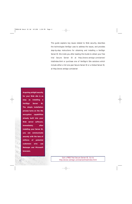This guide explains key issues related to Web security, describes the technologies VeriSign uses to address the issues, and provides step-by-step instructions for obtaining and installing a VeriSign Server ID. We invite you after reading this Guide to obtain your free trial Secure Server ID at http://www.verisign.com/server/ trial/index.html or purchase one of VeriSign's Site solutions which include either a full one-year Secure Server ID or a Global Server ID, at http://www.verisign.com/server

**Acquiring airtight security for your Web site is as easy as installing a VeriSign Server ID. The simple installation process turns on the SSL encryption capabilities already built into your Web server software. Immediately after installing your Server ID, you can communicate securely with the tens of millions of potential customers who use Netscape and Microsoft browsers.** 

> Get a FREE Trial Secure Server ID. Go to http://www.verisign.com/server/trial/index.html

 $-28$ 

RSL<br>RSL<br>HC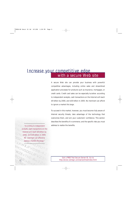### with a secure Web site Increase your competitive edge

A secure Web site can provide your business with powerful competitive advantages, including online sales and streamlined application processes for products such as insurance, mortgages, or credit cards. Credit card sales can be especially lucrative: according to independent analysts, cash transactions on the Internet will reach \$9 billion by 2000, and \$30 billion in 2005. No merchant can afford to ignore a market this large.

To succeed in this market, however, you must become fully aware of Internet security threats, take advantage of the technology that overcomes them, and win your customers' confidence. This section describes the benefits of e-commerce, and the specific risks you must address to realize the benefits.

*"According to independent analysts, cash transactions on the Internet will reach \$9 billion by 2000, and \$30 billion in 2005. No merchant can afford to ignore a market this large."*

> Get a FREE Trial Secure Server ID. Go to http://www.verisign.com/server/trial/index.html

VHONISDGIJFI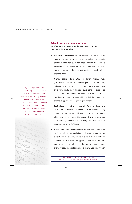**Extend your reach to more customers By offering your product on the Web, your business can gain unique benefits:**

- **Worldwide presence**—The Web represents a new source of customers. Anyone with an Internet connection is a potential customer: More than 50 million people around the world are already using the Internet for business transactions. Your Web storefront is open all the time, and requires no investments in brick and mortar.
- **Market share** In a 1998 Yankelovich Partners study (http://www.cpawebtrust.com/developer/dvlp\_content.html), eighty-five percent of Web users surveyed reported that a lack of security made them uncomfortable sending credit card numbers over the Internet. The merchants who can win the confidence of these customers will gain their loyalty—and an enormous opportunity for expanding market share.
- **Cost-effective delivery channel**—Many products and services, such as software or information, can be distributed directly to customers via the Web. This saves time for your customers, which increases your competitive appeal. It also increases your profitability by eliminating the shipping and overhead costs associated with order fulfillment.
- **Streamlined enrollment**—Paper-based enrollment workflows are fraught with delays. Applications for insurance, a mortgage, or a credit card, for example, can be held up in the mail and your mailroom. Once received, the application must be entered into your computer system, a labor-intensive process that can introduce errors. By accepting applications via a secure Web site, you can

Get a FREE Trial Secure Server ID. Go to http://www.verisign.com/server/trial/index.html

*"Eighty-five percent of Web users surveyed reported that a lack of security made them uncomfortable sending credit card numbers over the Internet. The merchants who can win the confidence of these customers will gain their loyalty— and an enormous opportunity for expanding market share."*

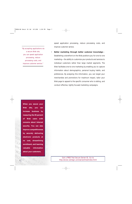*"By accepting applications via a secure Web site, you can speed application processing, reduce processing costs, and improve customer service."*

speed application processing, reduce processing costs, and improve customer service.

• **Better marketing through better customer knowledge**— Establishing a storefront on the Web positions you for one-to-one marketing—the ability to customize your products and services to individual customers rather than large market segments. The Web facilitates one-to-one marketing by enabling you to capture information about demographics, personal buying habits, and preferences. By analyzing this information, you can target your merchandise and promotions for maximum impact, tailor your Web page to appeal to the specific consumer who is visiting, and conduct effective, tightly focused marketing campaigns.

**When you secure your Web site, you can increase business by reassuring the 85 percent of Web users with concerns about Internet security. You can also improve competitiveness by securely delivering electronic products at no cost, streamlining enrollment, and learning valuable information about your customers.**

> Get a FREE Trial Secure Server ID. Go to http://www.verisign.com/server/trial/index.html

AN-O

OR<br>RSL<br>HAO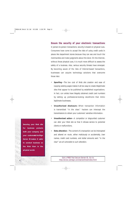**Ensure the security of your electronic transactions**  In person-to-person transactions, security is based on physical cues. Consumers have come to accept the risks of using credit cards in places like department stores because they can see and touch the merchandise and make judgments about the store. On the Internet, without those physical cues, it is much more difficult to assess the safety of a business. Also, serious security threats have emerged. By becoming aware of the risks of Internet-based transactions, businesses can acquire technology solutions that overcome those risks:

- **Spoofing**—The low cost of Web site creation and ease of copying existing pages makes it all too easy to create illegitimate sites that appear to be published by established organizations. In fact, con artists have illegally obtained credit card numbers by setting up professional-looking storefronts that mimic legitimate businesses.
- **Unauthorized disclosure**—When transaction information is transmitted "in the clear," hackers can intercept the transmissions to obtain your customers' sensitive information.
- **Unauthorized action**—A competitor or disgruntled customer can alter your Web site so that it refuses service to potential clients or malfunctions.
- **Data alteration**—The content of a transaction can be intercepted and altered en route, either maliciously or accidentally. User names, credit card numbers, and dollar amounts sent "in the clear" are all vulnerable to such alteration.

Get a FREE Trial Secure Server ID. Go to http://www.verisign.com/server/trial/index.html

**Securing your Web site for business protects both your company and** your customer<sup>8</sup>. VeriSign **Server ID makes it safer to conduct business on the Web than in the physical world.**

 $e^{i36}$ 

TAE WY ON RSL KNOWN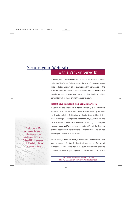### with a VeriSign Server ID Secure your Web site

A proven, low-cost solution to secure online transactions is available today. VeriSign Server IDs have earned the trust of businesses worldwide, including virtually all of the Fortune 500 companies on the Web and all of the top 40 e-commerce sites. To date, VeriSign has issued over 300,000 Server IDs. This section describes how VeriSign Server IDs work to make online transactions secure.

#### **Present your credentials via a VeriSign Server ID**

A Server ID, also known as a digital certificate, is the electronic equivalent of a business license. Server IDs are issued by a trusted third party, called a Certification Authority (CA). VeriSign is the world's leading CA, having issued more than 300,000 Server IDs. The CA that issues a Server ID is vouching for your right to use your company name and Web address, just as the office of the Secretary of State does when it issues Articles of Incorporation. CAs can also issue digital certificates to individuals.

Before issuing a Server ID, VeriSign reviews your credentials—such as your organization's Dun & Bradstreet number or Articles of Incorporation—and completes a thorough background checking process to ensure that your organization is what it claims to be, and

> Get a FREE Trial Secure Server ID. Go to http://www.verisign.com/server/trial/index.html

*"VeriSign Server IDs have earned the trust of businesses worldwide, including virtually all of the Fortune 500 companies on the Web and all of the top*<br>*VHO*<br>*VHO*<br>*SDC 40 e-commerce sites.* 

WZETTHE-R=

 $8.26$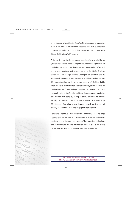is not claiming a false identity. Then VeriSign issues your organization a Server ID, which is an electronic credential that your business can present to prove its identity or right to access information (see "How Digital Certificates Work" below).

A Server ID from VeriSign provides the ultimate in credibility for your online business. VeriSign's rigorous authentication practices set the industry standard. VeriSign documents its carefully crafted and time-proven practices and procedures in a Certificate Practices Statement. And VeriSign annually undergoes an extensive SAS 70 Type II audit by KPMG. (The Statement of Auditing Standard 70, SAS 70, was established by the American Institute of Certified Public Accountants to certify trusted practices.) Employees responsible for dealing with certificates undergo complete background checks and thorough training. VeriSign has achieved its unsurpassed reputation as a trusted third party by paying as careful attention to physical security as electronic security. For example, the company's 22,000-square-foot plant where keys are issued has five tiers of security, the last three requiring fingerprint identification.

VeriSign's rigorous authentication practices, leading-edge cryptographic techniques, and ultra-secure facilities are designed to maximize your confidence in our services. These practices, technology, and infrastructure are the foundation for Server IDs to secure transactions working in conjunction with your Web server.

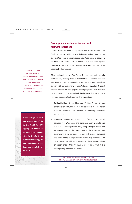### **Secure your online transactions without hardware investment**

VeriSign Server IDs work in conjunction with Secure Sockets Layer (SSL) technology, which is the industry-standard protocol for secure, Web-based communications. Your Web server is ready now to work with VeriSign Secure Server IDs if it's from Apache Freeware, C2Net, IBM, Lotus, Netscape, Microsoft, OpenMarket, or dozens of other vendors.

After you install your VeriSign Server ID, your server automatically activates SSL, creating a secure communications channel between your server and your customer's browser. Your site can communicate securely with any customer who uses Netscape Navigator, Microsoft Internet Explorer, or most popular e-mail programs. Once activated by your Server ID, SSL immediately begins providing you with the following components of secure online transactions:

- **Authentication**—By checking your VeriSign Server ID, your customers can verify that the Web site belongs to you, and not an impostor. This bolsters their confidence in submitting confidential information.
- **Message privacy**–SSL encrypts all information exchanged between your Web server and customers, such as credit card numbers and other personal data, using a unique session key. To securely transmit the session key to the consumer, your server encrypts it with your public key. Each session key is used only once, during a single session (which may include one or more transactions) with a single customer. These layers of privacy protection ensure that information cannot be viewed if it is intercepted by unauthorized parties.

Get a FREE Trial Secure Server ID. Go to http://www.verisign.com/server/trial/index.html

*"By checking your VeriSign Server ID, your customers can verify that the Web site belongs to you, and not an impostor. This bolsters their confidence in submitting confidential information."*

**With a VeriSign Server ID, you become part of the VeriSign Trust Network**<sup>SM</sup>, **tapping into millions of browsers already enabled with VeriSignÕs digital certificate technology. As your credibility grows, so does your potential market share.**

AL-18

WORSZ<br>PSZ<br>:LR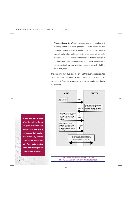• **Message integrity**–When a message is sent, the sending and receiving computers each generate a code based on the message content. If even a single character in the message content is altered en route, the receiving computer will generate a different code, and then alert the recipient that the message is not legitimate. With message integrity, both parties involved in the transaction know that what they're seeing is exactly what the other party sent.

The diagram below illustrates the process that guarantees protected communications between a Web server and a client. All exchanges of Server IDs occur within seconds, and require no action by the consumer.

![](_page_11_Figure_2.jpeg)

Get a FREE Trial Secure Server ID. Go to http://www.verisign.com/server/trial/index.html

**When you secure your Web site with a Server ID, your customers are assured that your site is legitimate. Information sent either way remains private, even if intercepted. And both parties know that messages are received exactly as sent.**

10 8:16-R= 7

 $v_{\geq}$ 

ON RSL NA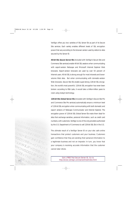VeriSign offers you two varieties of SSL Server IDs as part of its Secure Site services. Each variety enables different levels of SSL encryption power that vary according to the browser version used by visitors to sites secured by the Server ID.

**40-bit SSL Secure Server IDs** (included with VeriSign's Secure Site and Commerce Site services) enable 40-bit SSL sessions when communicating with export-version Netscape and Microsoft Internet Explorer Web browsers. Export-version browsers are used by over 50 percent of Internet users. 40-bit SSL is strong enough for most intranets and lowervolume Web sites. But when communicating with domestic-version Web browsers, Secure Site IDs enable super-strong 128-bit SSL encryption, the world's most powerful. 128-bit SSL encryption has never been broken: according to RSA Labs, it would take a trillion-trillion years to crack using today's technology.

**128-bit SSL Global Server IDs** (included with VeriSign's Secure Site Pro and Commerce Site Pro services) automatically ensure a minimum level of 128-bit SSL encryption when communicating with both domestic and export versions of Netscape Communicator and Internet Explorer. The encryption power of 128-bit SSL Global Server IDs make them ideal for sites that exchange sensitive, personal information, such as credit card numbers, with customers. VeriSign is one of the only providers authorized by the U.S. Department of Commerce to sell 128-bit SSL IDs in the U.S.

The ultimate result of a VeriSign Server ID on your site: safe online transactions that protect customers and your business. Customers gain confidence that they are sending their personal information to a legitimate business and not an impostor. In turn, you know that your company is receiving accurate information that the customer cannot later refute.

![](_page_12_Picture_5.jpeg)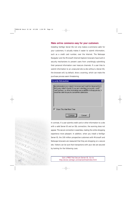#### **Make online commerce easy for your customers**

Installing VeriSign Server IDs not only makes e-commerce safer for your customers; it actually makes it easier to submit information, such as a credit card number, over the Internet. The Netscape Navigator and the Microsoft Internet Explorer browsers have built-in security mechanisms to prevent users from unwittingly submitting their personal information over insecure channels. If a user tries to submit information to an unsecured site (a site without a Server ID), the browsers will, by default, show a warning, which can make the purchase process seem threatening.

![](_page_13_Figure_2.jpeg)

![](_page_13_Picture_3.jpeg)

![](_page_13_Picture_5.jpeg)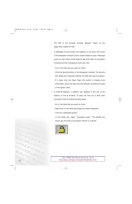- The URL in the browser window displays "https" at the beginning, instead of http.
- In Netscape Communicator, the padlock in the lower left corner of the Navigator window will be closed instead of open. Netscape users can also follow these steps to see what level of encryption is protecting their transactions with your site:
	- Go to the Web site you want to check.
	- Click the Security button in the Navigator's toolbar. The Security Info dialog box indicates whether the Web site uses encryption.
	- If it does, click the Open Page Info button to display more information about the site's security features, including the type of encryption used.
- In Internet Explorer, a padlock icon appears in the bar at the bottom of the IE window. IE users can find out a Web site's encryption level by following these steps:
	- Go to the Web site you want to check.
	- Right-click on the Web site's page and select Properties.
	- Click the Certificates button.
	- In the Fields box, select "Encryption type." The Details box shows you the level of encryption (40-bit or 128-bit).

![](_page_14_Picture_10.jpeg)

![](_page_14_Picture_12.jpeg)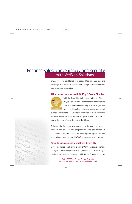### with VeriSign Solutions Enhance sales, convenience, and security

When you have established your secure Web site, you can take advantage of a wealth of options from VeriSign to further enhance your e-commerce operation.

### **Attract more customers with VeriSign's Secure Site Seal**

![](_page_15_Picture_3.jpeg)

With the Secure Site Seal, included with every Site service, you can display the number-one trust brand on the Internet (Cheskin/Studio Archetype Study) to give your customers the confidence to communicate and transact

business with your site. The Seal allows your visitors to check your Server ID's information and status in real time, and provides additional protection against the misuse of revoked and expired certificates.

A Secure Site Seal icon also appears next to your organization's listing in Network Solutions' comprehensive Web site directory at http://www.dotcomdirectory.com, alerting every directory user that your site is set apart from the crowd by VeriSign's superior security features.

### **Simplify management of multiple Server IDs**

Is your site hosted on 10 or more servers? With one simple purchase, VeriSign's OnSite managed service lets you issue all the Server IDs you need—either standard or universal 128-bit SSL certificates— in bundles

![](_page_15_Picture_10.jpeg)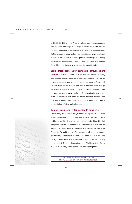of 10, 25, 50, 100, or more. A convenient one-step purchasing process lets you take advantage of a single purchase order, and volume discounts make OnSite the most cost-effective way to secure big sites. OnSite is simple to set up and configure: start issuing server certificates quickly via our intuitive Web-based process. Renewing IDs or buying additional IDs is just as easy. To find out more about OnSite for Multiple Server IDs, go to http://www.verisign.com/server/prd/m/index.html .

**Learn more about your customers through client authentication** A Secure Server ID tells your customers exactly who you are. Suppose you want to learn who your customers are, or to restrict access to your content to certain consumers. You can set up your Web site to authenticate visitors' identities with VeriSign Server IDs for Individual Users. Compared to asking customers to supply a user name and password, Server ID registration is more convenient for customers and more informative for your business. Visit http://www.verisign.com/clientauth/ for more information and a demonstration of client authentication.

#### **Deploy strong security for worldwide commerce**

Until recently, strong 128-bit encryption was not exportable. The United States Department of Commerce has approved VeriSign to issue certificates for 128-bit encrypted communications, the highest level of encryption ever allowed across United States borders. With a VeriSign 128-bit SSL Global Server ID, available from VeriSign as part of its Secure Site Pro and Commerce Site Pro Services, all of your customers can now enjoy unparalleled security when visiting your Web site. The VeriSign Global Server ID is a septillion times more secure than any other product. For more information about VeriSign's Global Server 128-bit ID, see http://www.verisign.com/server/rsc/faq.html

![](_page_16_Picture_5.jpeg)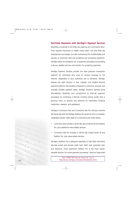### **Facilitate Payments with VeriSign's Payment Services**

Extending a business to the Web and opening an e-commerce storefront requires merchants to master many tasks—not only Web site development and design, but also maintaining the confidentiality and security of consumer data and accepting and processing payments. VeriSign takes the headache out of payment processing by providing a secure, reliable and low-cost solution for accepting payments.

VeriSign Payment Services provide the ideal payment transaction platform for merchants who want to conduct business on the Internet. Regardless of your business's size or demands, VeriSign delivers the right solution: a fast, scalable, and reliable Internet payment platform that enables companies to authorize, process, and manage multiple payment types. VeriSign Payment Services bring affordability, flexibility, and convenience to Internet payment processing by combining a flat-fee monthly pricing model with a growing menu of services and solutions for merchants, financial institutions, resellers, and developers.

VeriSign's Commerce Site and Commerce Site Pro Services combine SSL Server IDs with the VeriSign Payflow Pro service to form a complete, integrated solution that's ideal for e-merchants and online stores.

- Commerce Site includes a 40-bit SSL Secure Server ID and Payflow Pro, plus additional value-added services.
- Commerce Site Pro includes a 128-bit SSL Global Server ID and Payflow Pro, plus value-added services.

VeriSign's Payflow Pro is designed especially to help Web merchants securely accept and process credit card, debit card, purchase card, and electronic check payments. Payflow Pro is the most robust, versatile solution for online payment processing—ideal for large-scale

![](_page_17_Picture_8.jpeg)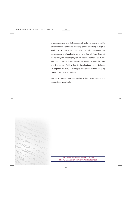e-commerce merchants that require peak performance and complete customizability. Payflow Pro enables payment processing through a small SSL TCP/IP-enabled client that controls communications between merchants' applications and the Payflow platform. Designed for scalability and reliability, Payflow Pro creates a dedicated SSL TCP/IP level communication thread for each transaction between the client and the server. Payflow Pro is downloadable as a Software Development Kit (SDK) or comes pre-integrated with most shopping carts and e-commerce platforms.

See and try VeriSign Payment Services at http://www.verisign.com/ payment/seetrybuy.html .

![](_page_18_Picture_2.jpeg)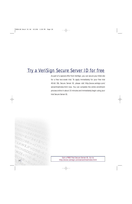## Try a VeriSign Secure Server ID for free

As part of a special offer from VeriSign, you can secure your Web site for a free two-week trial. To apply immediately for your free trial 40-bit SSL Secure Server ID, please visit http://www.verisign.com/ server/trial/index.html now. You can complete the entire enrollment process online in about 15 minutes and immediately begin using your trial Secure Server ID.

![](_page_19_Picture_2.jpeg)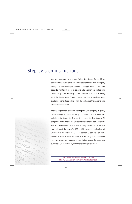## Step-by-step instructions

You can purchase a one-year full-service Secure Server ID as part of VeriSign's Secure Site or Commerce Site Services from VeriSign by visiting http://www.verisign.com/server. The application process takes about 15 minutes. In one to three days, after VeriSign has verified your credentials, you will receive your Secure Server ID via e-mail. Simply install the Secure Server ID on your server, and then immediately begin conducting transactions online—with the confidence that you and your customers are protected.

The U.S. Department of Commerce requires your company to qualify before buying the 128-bit SSL encryption power of Global Server IDs, included with Secure Site Pro and Commerce Site Pro Services. All companies within the United States are eligible for Global Server IDs. The U.S. Government determines the categories of companies that can implement the powerful 128-bit SSL encryption technology of Global Server IDs outside the U.S. and across U.S. borders. New regulations make Global Server IDs available to a wider group of customers than ever before: any company or organization around the world may purchase a Global Server ID, with the following exceptions:

![](_page_20_Picture_3.jpeg)

![](_page_20_Picture_4.jpeg)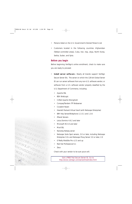- Persons listed on the U.S. Government's Denied Person's List
- Customers located in the following countries: Afghanistan (Taliban-controlled areas), Cuba, Iran, Iraq, Libya, North Korea, Serbia, Sudan, and Syria.

#### **Before you begin**

Before beginning VeriSign's online enrollment, check to make sure you are ready to proceed:

- **Install server software**—Nearly all brands support VeriSign Secure Server IDs. The server on which the 128-bit Global Server ID can run server software from any non-U.S. software vendor, or software from a U.S. software vendor properly classified by the U.S. Department of Commerce, including:
	- Apache-SSL
	- **BEA WebLogic**
	- C2Net Apache Stronghold
	- Compaq/Tandem iTP Webserver
	- Covalent Raven
	- Hewlett Packard Virtual Vault (with Netscape Enterprise)
	- IBM http Server/Webphone 1.3.3.1 and 1.3.6
	- iPlanet Servers
	- Lotus Domino 4.6.2 and later
	- Microsoft IIS 3.0 and later
	- Mod-SSL
	- Nanoteq Netseq server
	- Netscape Suite Spot servers, 3.0 or later, including Netscape Enterprise 3.0+ and Netscape Proxy Server 3.0 or later, 2.0
	- O'Reilly WebSite Pro v.2.5 and up
	- Red Hat Professional 6.1
	- Zeus

Check with your vendor to be sure yours will.

![](_page_21_Picture_23.jpeg)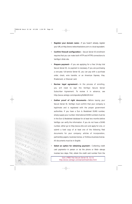- **Register your domain name**—If you haven't already, register your URL at http://www.networksolutions.com or a local equivalent.
- **Confirm firewall configuration** Secure Server ID enrollment requires that you can make both HTTP and HTTPS connections to VeriSign's Web site.
- **Prepare payment**—If you are applying for a free 14-day trial Secure Server ID, no payment is necessary. If you are purchasing a one-year, full-service Server ID, you can pay with a purchase order, check, wire transfer, or an American Express, Visa, Mastercard, or Discover card.
- **Review legal agreement** —In the process of enrolling, you will need to sign the VeriSign Secure Server Subscriber Agreement. To review it in advance, see http://www.verisign.com/repository/SUBAGR.html
- Gather proof of right documents Before issuing your Secure Server ID, VeriSign must confirm that your company is legitimate and is registered with the proper government authorities. If you have a Dun & Bradstreet DUNS number, simply supply your number. International DUNS numbers must be in the Dun & Bradstreet database for at least two months before VeriSign can verify the information. If you do not have a DUNS number, either go to http://www.dnb.com and apply for one, or submit a hard copy of at least one of the following filed documents for your company: articles of incorporation, partnership papers, business license, or fictitious business license. All documents must be in English.
- **Select an option for obtaining payment** Collecting credit card payments—in person or via the phone or Web—always involves two steps. First, obtain the credit card number from the

![](_page_22_Picture_7.jpeg)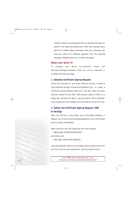customer. Second, secure payment from an acquiring processor on behalf of the credit card issuing bank. When your business uses a Server ID to obtain billing information from your customers, you have two options for collecting payments from the acquiring processor: traditional phone-in, or online processing.

### **Obtain your Server ID**

To complete your Server ID enrollment, please visit http://www.verisign.com/server. There you will be instructed to complete the following steps.

### **1. Generate Certificate Signing Request**

Follow the instructions in your server software manual, or online at http://digitalid.verisign.com/server/enrollStep3.htm, to create a Certificate Signing Request (CSR) and a key pair. After the server software creates the two files, make backup copies of them on a floppy disk, and store the disk in a secure location. This is important: If your private key is lost, VeriSign will not be able to recover it for you.

### **2. Submit the Certificate Signing Request (CSR) to VeriSign**

Open the CSR file in a text editor, such as WordPad, NotePad, or Textpad. Do not use a word processing application such as Microsoft Word or Adobe FrameMaker.

Select the text in the CSR, beginning with and including:

—-BEGIN NEW CERTIFICATE REQUEST—-

and ending with

—-END NEW CERTIFICATE REQUEST—-

Copy and paste the CSR into the VeriSign online enrollment form for the trial or the one-year subscription. Click the Submit button.

![](_page_23_Picture_13.jpeg)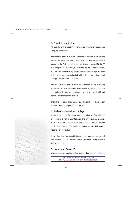#### **3. Complete application**

Fill out the online application form with information about your company and contacts.

The technical contact must be authorized to run and maintain your secure Web server and must be employed by your organization. If you access the Web through an Internet Service Provider (ISP), the ISP may complete the CSR for you and serve as the technical contact, and you can then enroll. If your ISP does not offer VeriSign IDs, refer it to www.verisign.com/isp/index.html for information about VeriSign's Secure Site ISP Program.

The organizational contact must be authorized to make binding agreements, such as the Secure Server Service Agreement, and must be employed by your organization. It is best to select a different person from the technical contact.

The billing contact will receive invoices. This can be the same person as the technical or organizational contact.

### **4. Authentication takes 1-3 days**

Within a few hours of receiving your application, VeriSign will send a confirming e-mail to your technical and organizational contacts. The e-mail will include a URL where you can check the status of your application, as well as a Personal Identification Number (PIN) you will need to view the status.

If the information you submitted is complete, your technical contact and organizational contact will receive your Server ID by e-mail in 1–3 working days.

### **5. Install your Server ID**

When you receive your Server ID, make a backup copy of it and store

![](_page_24_Picture_11.jpeg)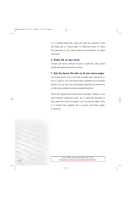it on a labeled floppy disk, noting the date you received it. Store the floppy disk in a secure place. To install your Server ID, follow the instructions in your server software documentation for digital certificates.

### **6. Enable SSL on your server**

Consult your server software manual to enable SSL. The process should take approximately five minutes.

### **7. Post the Secure Site Seal on all your secure pages**

You should receive a file of the Seal, complete with instructions on how to install it, via e-mail shortly after completing the enrollment process. You can also find downloadable Seal files and instructions at http://www.verisign.com/server/prg/seal/install.html

NOTE: SSL imposes some performance overhead. Therefore, most server software applications allow you to apply SSL selectively to Web pages that require encryption, such as payment pages. There is no benefit from applying SSL to product information pages, for example.

![](_page_25_Picture_6.jpeg)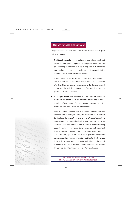#### **Options for obtaining payment**

Congratulations! You can now offer secure transactions to your online customers:

**Traditional phone-in.** If your business already collects credit card payments from person-to-person or telephone sales, you are probably using this method currently. Simply read each customer's card number from your Internet order form and transmit it to the processor using a point-of-sale (POS) terminal.

If your business is not yet set up to collect credit card payments, contact a merchant services company, such as First Data Corporation Web Info. Merchant service companies generally charge a nominal set-up fee, also called an underwriting fee, and then charge a percentage of each transaction.

**Online processing.** Most leading credit card processors offer their merchants the option to collect payments online. The paymentenabling software needed for these transactions depends on the system that the credit card service provider uses.

Payflow<sup>SM</sup> Payment Services provide high-quality, low-cost payment connectivity between buyers, sellers, and financial networks. Payflow Services bring the Internet's "anyone-to-anyone" ease of connectivity to the payments industry. Using Payflow, a merchant can connect to any bank, transaction service, or form of payment without worrying about the underlying technology. Customers can pay with a variety of financial instruments, including checking accounts, savings accounts, and credit cards, quickly and simply. See http://www.verisign.com/ payment/index.html for more information. VeriSign Payflow Pro service is also available, along with SSL Server IDs and additional value-added e-commerce features, as part of Commerce Site and Commerce Site Pro Services. See http://www.verisign.com/server/index.html.

![](_page_26_Picture_7.jpeg)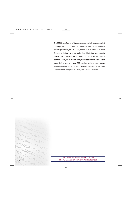The SET (Secure Electronic Transactions) protocol allows you to collect online payments from credit card companies with the same level of security provided by SSL. With SET, the credit card company or other financial institution issues you a digital certificate that allows you to receive direct payments electronically. Your SET merchant's digital certificate tells your customers that you are approved to accept credit cards, in the same way your POS terminal and credit card decals assure customers during in-person payment transactions. For mor e information on using SET, visit http://www.verisign.com/set/.

![](_page_27_Picture_1.jpeg)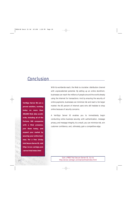## Conclusion

**VeriSign Server IDs are a proven solution, working today on more than 300,000 Web sites worldwide, including all of the Fortune 500 companies with a Web presence. Join them today, and expand your market by securing your online business. For a free 14-day trial Secure Server ID, visit http://www.verisign.com /server/trial/index.html**

With its worldwide reach, the Web is a lucrative distribution channel with unprecedented potential. By setting up an online storefront, businesses can reach the millions of people around the world already using the Internet for transactions. And by ensuring the security of online payments, businesses can minimize risk and reach a far larger market: the 85 percent of Internet users who still hesitate to shop online because of security concerns.

A VeriSign Server ID enables you to immediately begin conducting online business securely, with authentication, message privacy, and message integrity. As a result, you can minimize risk, win customer confidence, and, ultimately, gain a competitive edge.

> Get a FREE Trial Secure Server ID. Go to http://www.verisign.com/server/trial/index.html

 $\mathcal{S}_{\cdot}$ 

ru<br>Or<br>ESL<br>ELR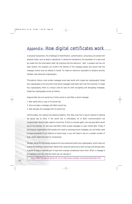# Appendix: How digital certificates work

In physical transactions, the challenges of identification, authentication, and privacy are solved with physical marks, such as seals or signatures. In electronic transactions, the equivalent of a seal must be coded into the information itself. By checking that the electronic "seal" is present and has not been broken, the recipient can confirm the identity of the message sender and ensure that the message content was not altered in transit. To create an electronic equivalent of physical security, VeriSign uses advanced cryptography.

Throughout history, most private messages were kept secret with single key cryptography. Single key cryptography is the way that most secret messages have been sent over the centuries. In single key cryptography, there is a unique code (or key) for both encrypting and decrypting messages. Single key cryptography works as follows:

Suppose Bob has one secret key. If Alice wants to send Bob a secret message:

- 1. Bob sends Alice a copy of his secret key
- 2. Alice encrypts a message with Bob's secret key
- 3. Bob decrypts the message with his secret key

Unfortunately, this method has several problems. First, Bob must find a secure method of getting his secret key to Alice. If the secret key is intercepted, all of Bob's communications are compromised. Second, Bob needs to trust Alice. If Alice is a double agent, she may give Bob's secret key to his enemies. Or, she may read Bob's other private messages or even imitate Bob. Finally, if you have an organization with people who need to exchange secret messages, you will either need to have thousands (if not millions) of secret keys, or you will need to rely on a smaller number of keys, which opens the door to compromise.

VeriSign Server ID technology employs the more advanced public-key cryptography, which does not involve the sharing of secret keys. Rather than using the same key to both encrypt and decrypt data, a Server ID technology employs the more auvanced pair of some key to both encrypt and decrypt data,<br>a Server ID uses a matched pair of keys that uniquely complement each other. When a message is encrypted by one key, only the other key can decrypt it.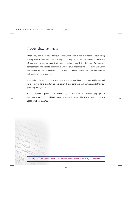### Appendix: continued

When a key pair is generated for your business, your "private key" is installed on your server; nobody else has access to it. Your matching "public key," in contrast, is freely distributed as part of your Server ID. You can share it with anyone, and even publish it in directories. Customers or correspondents who want to communicate with you privately can use the public key in your Server ID to encrypt information before sending it to you. Only you can decrypt the information, because only you have your private key.

Your VeriSign Server ID contains your name and identifying information, your public key, and VeriSign's own digital signature as certification. It tells customers and correspondents that your public key belongs to you.

For a detailed explanation of Public Key Infrastructure and cryptography, go to https://www.verisign.com/cgibin/clearsales\_cgi/leadgen.htm?form\_id=0152&toc=w02850257015 2000&email= on the Web.

![](_page_30_Picture_4.jpeg)